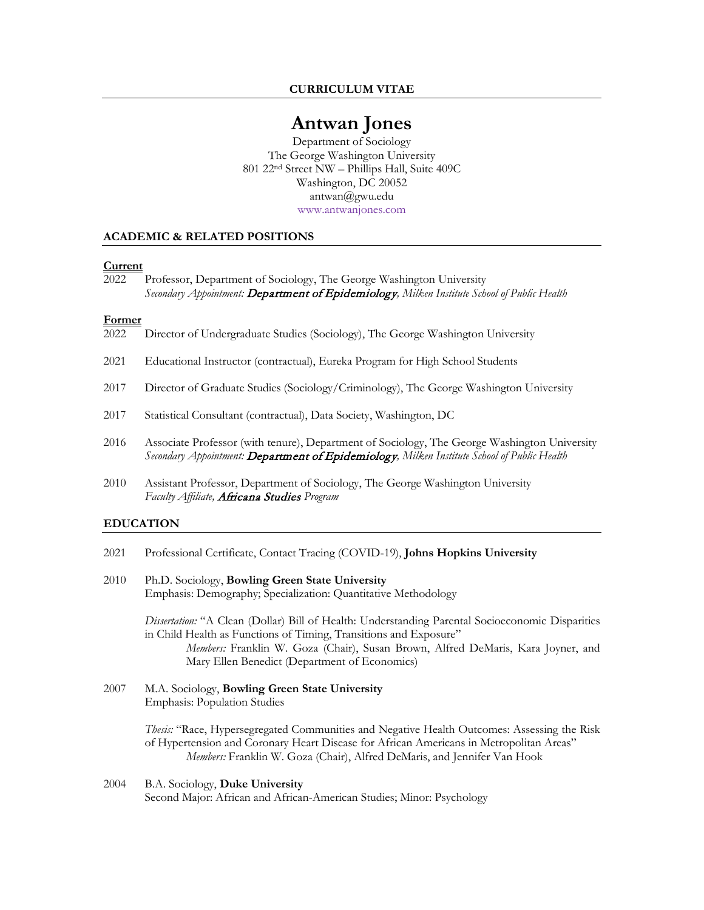**CURRICULUM VITAE**

# **Antwan Jones**

Department of Sociology The George Washington University 801 22nd Street NW – Phillips Hall, Suite 409C Washington, DC 20052 [antwan@gwu.edu](mailto:antwan@gwu.edu) [www.antwanjones.com](http://www.antwanjones.com/)

#### **ACADEMIC & RELATED POSITIONS**

#### **Current**

2022 Professor, Department of Sociology, The George Washington University *Secondary Appointment:* Department of Epidemiology*, Milken Institute School of Public Health*

#### **Former**

- 2022 Director of Undergraduate Studies (Sociology), The George Washington University
- 2021 Educational Instructor (contractual), Eureka Program for High School Students
- 2017 Director of Graduate Studies (Sociology/Criminology), The George Washington University
- 2017 Statistical Consultant (contractual), Data Society, Washington, DC
- 2016 Associate Professor (with tenure), Department of Sociology, The George Washington University *Secondary Appointment:* Department of Epidemiology*, Milken Institute School of Public Health*
- 2010 Assistant Professor, Department of Sociology, The George Washington University *Faculty Affiliate,* [Africana Studies](http://programs.columbian.gwu.edu/africanastudies/) *Program*

#### **EDUCATION**

- 2021 Professional Certificate, Contact Tracing (COVID-19), **Johns Hopkins University**
- 2010 Ph.D. Sociology, **Bowling Green State University** Emphasis: Demography; Specialization: Quantitative Methodology

*Dissertation:* "A Clean (Dollar) Bill of Health: Understanding Parental Socioeconomic Disparities in Child Health as Functions of Timing, Transitions and Exposure" *Members:* Franklin W. Goza (Chair), Susan Brown, Alfred DeMaris, Kara Joyner, and Mary Ellen Benedict (Department of Economics)

2007 M.A. Sociology, **Bowling Green State University** Emphasis: Population Studies

> *Thesis:* "Race, Hypersegregated Communities and Negative Health Outcomes: Assessing the Risk of Hypertension and Coronary Heart Disease for African Americans in Metropolitan Areas" *Members:* Franklin W. Goza (Chair), Alfred DeMaris, and Jennifer Van Hook

2004 B.A. Sociology, **Duke University** Second Major: African and African-American Studies; Minor: Psychology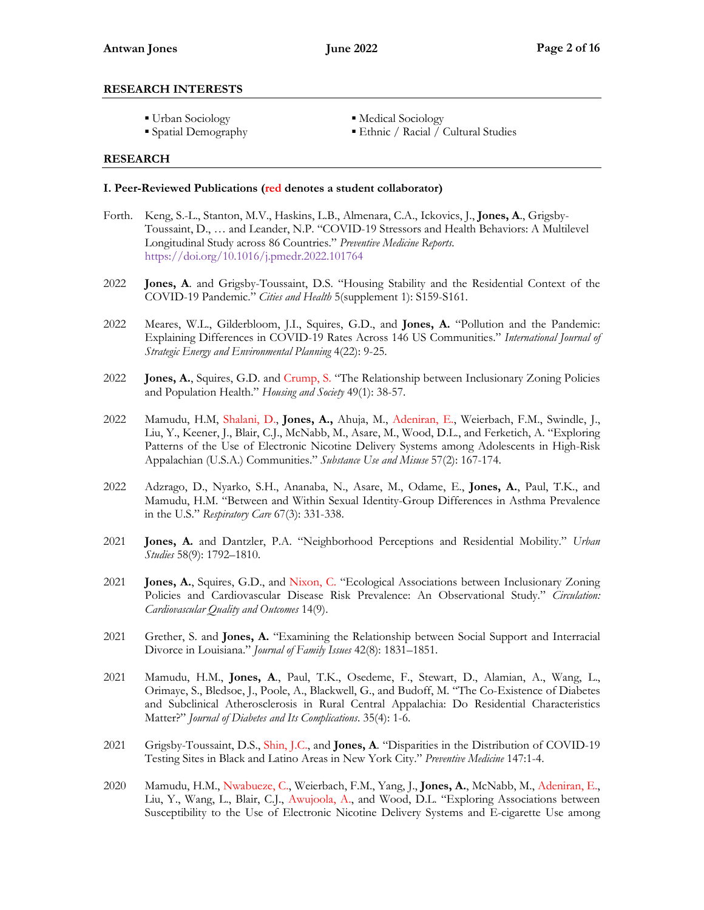## **RESEARCH INTERESTS**

- 
- 
- Urban Sociology Medical Sociology
- Spatial Demography Ethnic / Racial / Cultural Studies

## **RESEARCH**

## **I. Peer-Reviewed Publications (red denotes a student collaborator)**

- Forth. Keng, S.-L., Stanton, M.V., Haskins, L.B., Almenara, C.A., Ickovics, J., **Jones, A**., Grigsby-Toussaint, D., … and Leander, N.P. "COVID-19 Stressors and Health Behaviors: A Multilevel Longitudinal Study across 86 Countries." *Preventive Medicine Reports.* <https://doi.org/10.1016/j.pmedr.2022.101764>
- 2022 **Jones, A**. and Grigsby-Toussaint, D.S. "Housing Stability and the Residential Context of the COVID-19 Pandemic." *Cities and Health* 5(supplement 1): S159-S161.
- 2022 Meares, W.L., Gilderbloom, J.I., Squires, G.D., and **Jones, A.** "Pollution and the Pandemic: Explaining Differences in COVID-19 Rates Across 146 US Communities." *International Journal of Strategic Energy and Environmental Planning* 4(22): 9-25.
- 2022 **Jones, A.**, Squires, G.D. and Crump, S. "The Relationship between Inclusionary Zoning Policies and Population Health." *Housing and Society* 49(1): 38-57.
- 2022 Mamudu, H.M, Shalani, D., **Jones, A.,** Ahuja, M., Adeniran, E., Weierbach, F.M., Swindle, J., Liu, Y., Keener, J., Blair, C.J., McNabb, M., Asare, M., Wood, D.L., and Ferketich, A. "Exploring Patterns of the Use of Electronic Nicotine Delivery Systems among Adolescents in High-Risk Appalachian (U.S.A.) Communities." *Substance Use and Misuse* 57(2): 167-174.
- 2022 Adzrago, D., Nyarko, S.H., Ananaba, N., Asare, M., Odame, E., **Jones, A.**, Paul, T.K., and Mamudu, H.M. "Between and Within Sexual Identity-Group Differences in Asthma Prevalence in the U.S." *Respiratory Care* 67(3): 331-338.
- 2021 **Jones, A.** and Dantzler, P.A. "Neighborhood Perceptions and Residential Mobility." *Urban Studies* 58(9): 1792–1810.
- 2021 **Jones, A.**, Squires, G.D., and Nixon, C. "Ecological Associations between Inclusionary Zoning Policies and Cardiovascular Disease Risk Prevalence: An Observational Study." *Circulation: Cardiovascular Quality and Outcomes* 14(9).
- 2021 Grether, S. and **Jones, A.** "Examining the Relationship between Social Support and Interracial Divorce in Louisiana." *Journal of Family Issues* 42(8): 1831–1851.
- 2021 Mamudu, H.M., **Jones, A**., Paul, T.K., Osedeme, F., Stewart, D., Alamian, A., Wang, L., Orimaye, S., Bledsoe, J., Poole, A., Blackwell, G., and Budoff, M. "The Co-Existence of Diabetes and Subclinical Atherosclerosis in Rural Central Appalachia: Do Residential Characteristics Matter?" *Journal of Diabetes and Its Complications*. 35(4): 1-6.
- 2021 Grigsby-Toussaint, D.S., Shin, J.C., and **Jones, A**. "Disparities in the Distribution of COVID-19 Testing Sites in Black and Latino Areas in New York City." *Preventive Medicine* 147:1-4.
- 2020 Mamudu, H.M., Nwabueze, C., Weierbach, F.M., Yang, J., **Jones, A.**, McNabb, M., Adeniran, E., Liu, Y., Wang, L., Blair, C.J., Awujoola, A., and Wood, D.L. "Exploring Associations between Susceptibility to the Use of Electronic Nicotine Delivery Systems and E-cigarette Use among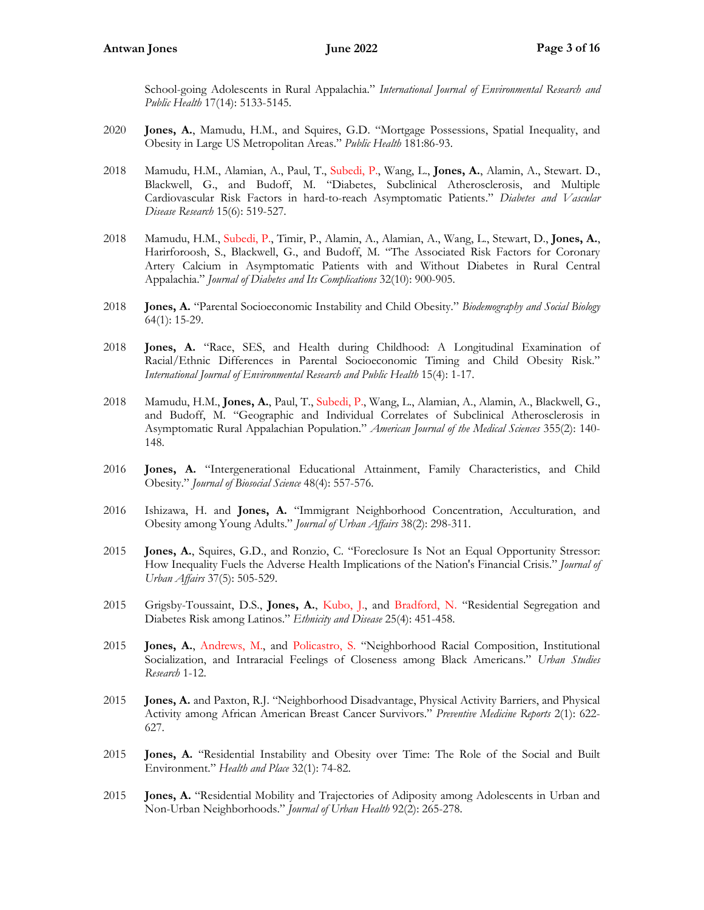School-going Adolescents in Rural Appalachia." *International Journal of Environmental Research and Public Health* 17(14): 5133-5145.

- 2020 **Jones, A.**, Mamudu, H.M., and Squires, G.D. "Mortgage Possessions, Spatial Inequality, and Obesity in Large US Metropolitan Areas." *Public Health* 181:86-93.
- 2018 Mamudu, H.M., Alamian, A., Paul, T., Subedi, P., Wang, L., **Jones, A.**, Alamin, A., Stewart. D., Blackwell, G., and Budoff, M. "Diabetes, Subclinical Atherosclerosis, and Multiple Cardiovascular Risk Factors in hard-to-reach Asymptomatic Patients." *Diabetes and Vascular Disease Research* 15(6): 519-527.
- 2018 Mamudu, H.M., Subedi, P., Timir, P., Alamin, A., Alamian, A., Wang, L., Stewart, D., **Jones, A.**, Harirforoosh, S., Blackwell, G., and Budoff, M. "The Associated Risk Factors for Coronary Artery Calcium in Asymptomatic Patients with and Without Diabetes in Rural Central Appalachia." *Journal of Diabetes and Its Complications* 32(10): 900-905.
- 2018 **Jones, A.** "Parental Socioeconomic Instability and Child Obesity." *Biodemography and Social Biology* 64(1): 15-29.
- 2018 **Jones, A.** "Race, SES, and Health during Childhood: A Longitudinal Examination of Racial/Ethnic Differences in Parental Socioeconomic Timing and Child Obesity Risk." *International Journal of Environmental Research and Public Health* 15(4): 1-17.
- 2018 Mamudu, H.M., **Jones, A.**, Paul, T., Subedi, P., Wang, L., Alamian, A., Alamin, A., Blackwell, G., and Budoff, M. "Geographic and Individual Correlates of Subclinical Atherosclerosis in Asymptomatic Rural Appalachian Population." *American Journal of the Medical Sciences* 355(2): 140- 148.
- 2016 **Jones, A.** "Intergenerational Educational Attainment, Family Characteristics, and Child Obesity." *Journal of Biosocial Science* 48(4): 557-576.
- 2016 Ishizawa, H. and **Jones, A.** "Immigrant Neighborhood Concentration, Acculturation, and Obesity among Young Adults." *Journal of Urban Affairs* 38(2): 298-311.
- 2015 **Jones, A.**, Squires, G.D., and Ronzio, C. "Foreclosure Is Not an Equal Opportunity Stressor: How Inequality Fuels the Adverse Health Implications of the Nation's Financial Crisis." *Journal of Urban Affairs* 37(5): 505-529.
- 2015 Grigsby-Toussaint, D.S., **Jones, A.**, Kubo, J., and Bradford, N. "Residential Segregation and Diabetes Risk among Latinos." *Ethnicity and Disease* 25(4): 451-458.
- 2015 **Jones, A.**, Andrews, M., and Policastro, S. "Neighborhood Racial Composition, Institutional Socialization, and Intraracial Feelings of Closeness among Black Americans." *Urban Studies Research* 1-12.
- 2015 **Jones, A.** and Paxton, R.J. "Neighborhood Disadvantage, Physical Activity Barriers, and Physical Activity among African American Breast Cancer Survivors." *Preventive Medicine Reports* 2(1): 622- 627.
- 2015 **Jones, A.** "Residential Instability and Obesity over Time: The Role of the Social and Built Environment." *Health and Place* 32(1): 74-82.
- 2015 **Jones, A.** "Residential Mobility and Trajectories of Adiposity among Adolescents in Urban and Non-Urban Neighborhoods." *Journal of Urban Health* 92(2): 265-278.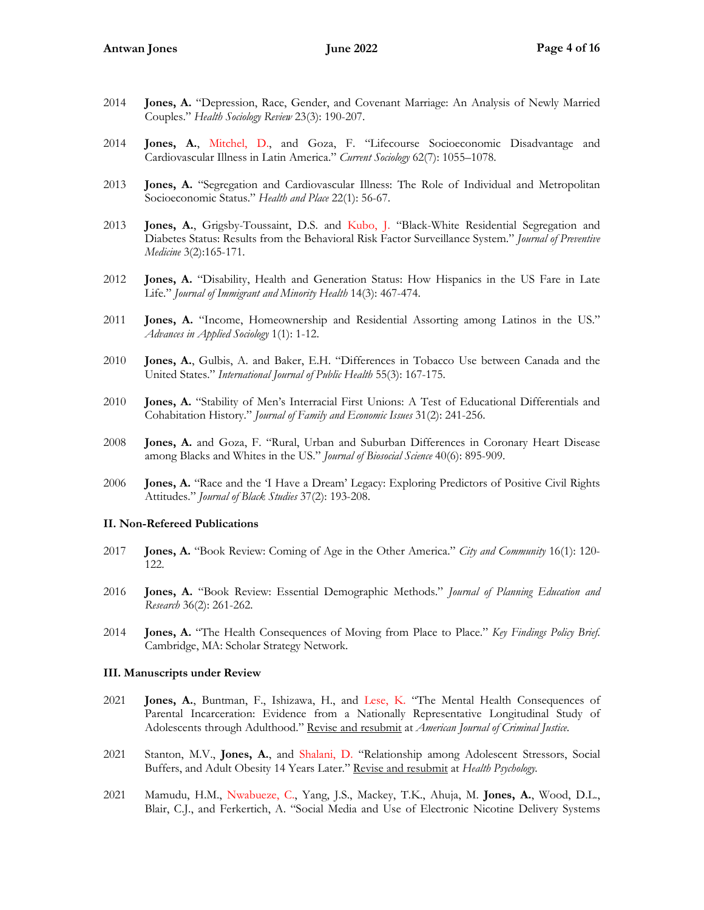- 2014 **Jones, A.** "Depression, Race, Gender, and Covenant Marriage: An Analysis of Newly Married Couples." *Health Sociology Review* 23(3): 190-207.
- 2014 **Jones, A.**, Mitchel, D., and Goza, F. "Lifecourse Socioeconomic Disadvantage and Cardiovascular Illness in Latin America." *Current Sociology* 62(7): 1055–1078.
- 2013 **Jones, A.** "Segregation and Cardiovascular Illness: The Role of Individual and Metropolitan Socioeconomic Status." *Health and Place* 22(1): 56-67.
- 2013 **Jones, A.**, Grigsby-Toussaint, D.S. and Kubo, J. "Black-White Residential Segregation and Diabetes Status: Results from the Behavioral Risk Factor Surveillance System." *Journal of Preventive Medicine* 3(2):165-171.
- 2012 **Jones, A.** "Disability, Health and Generation Status: How Hispanics in the US Fare in Late Life." *Journal of Immigrant and Minority Health* 14(3): 467-474.
- 2011 **Jones, A.** "Income, Homeownership and Residential Assorting among Latinos in the US." *Advances in Applied Sociology* 1(1): 1-12.
- 2010 **Jones, A.**, Gulbis, A. and Baker, E.H. "Differences in Tobacco Use between Canada and the United States." *International Journal of Public Health* 55(3): 167-175.
- 2010 **Jones, A.** "Stability of Men's Interracial First Unions: A Test of Educational Differentials and Cohabitation History." *Journal of Family and Economic Issues* 31(2): 241-256.
- 2008 **Jones, A.** and Goza, F. "Rural, Urban and Suburban Differences in Coronary Heart Disease among Blacks and Whites in the US." *Journal of Biosocial Science* 40(6): 895-909.
- 2006 **Jones, A.** "Race and the 'I Have a Dream' Legacy: Exploring Predictors of Positive Civil Rights Attitudes." *Journal of Black Studies* 37(2): 193-208.

## **II. Non-Refereed Publications**

- 2017 **Jones, A.** "Book Review: Coming of Age in the Other America." *City and Community* 16(1): 120- 122.
- 2016 **Jones, A.** "Book Review: Essential Demographic Methods." *Journal of Planning Education and Research* 36(2): 261-262.
- 2014 **Jones, A.** "The Health Consequences of Moving from Place to Place." *Key Findings Policy Brief*. Cambridge, MA: Scholar Strategy Network.

#### **III. Manuscripts under Review**

- 2021 **Jones, A.**, Buntman, F., Ishizawa, H., and Lese, K. "The Mental Health Consequences of Parental Incarceration: Evidence from a Nationally Representative Longitudinal Study of Adolescents through Adulthood." Revise and resubmit at *American Journal of Criminal Justice.*
- 2021 Stanton, M.V., **Jones, A.**, and Shalani, D. "Relationship among Adolescent Stressors, Social Buffers, and Adult Obesity 14 Years Later." Revise and resubmit at *Health Psychology.*
- 2021 Mamudu, H.M., Nwabueze, C., Yang, J.S., Mackey, T.K., Ahuja, M. **Jones, A.**, Wood, D.L., Blair, C.J., and Ferkertich, A. "Social Media and Use of Electronic Nicotine Delivery Systems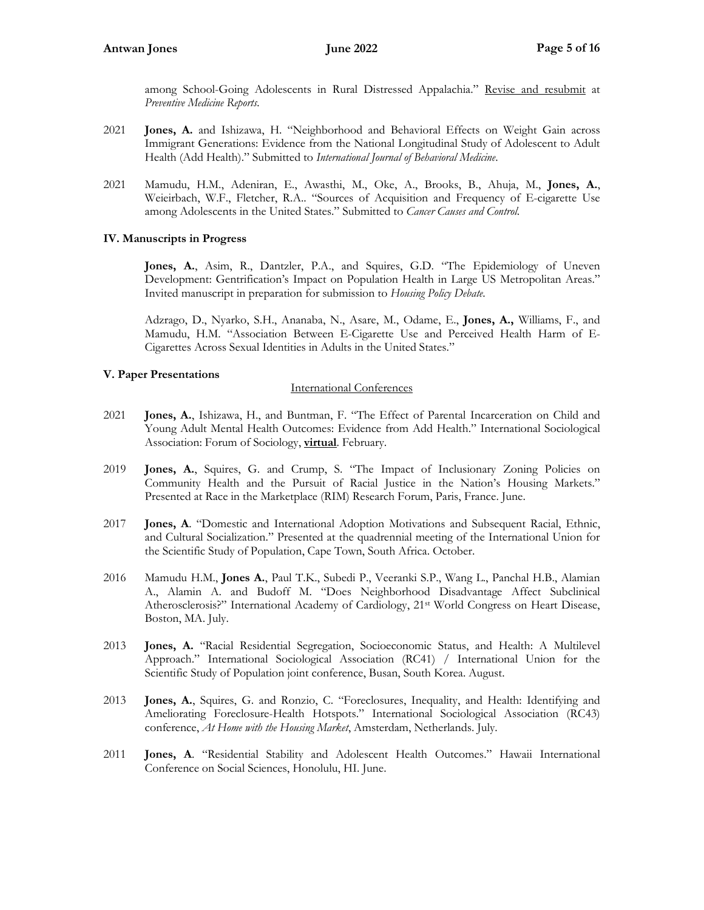among School-Going Adolescents in Rural Distressed Appalachia." Revise and resubmit at *Preventive Medicine Reports.*

- 2021 **Jones, A.** and Ishizawa, H. "Neighborhood and Behavioral Effects on Weight Gain across Immigrant Generations: Evidence from the National Longitudinal Study of Adolescent to Adult Health (Add Health)." Submitted to *International Journal of Behavioral Medicine*.
- 2021 Mamudu, H.M., Adeniran, E., Awasthi, M., Oke, A., Brooks, B., Ahuja, M., **Jones, A.**, Weieirbach, W.F., Fletcher, R.A.. "Sources of Acquisition and Frequency of E-cigarette Use among Adolescents in the United States." Submitted to *Cancer Causes and Control*.

## **IV. Manuscripts in Progress**

**Jones, A.**, Asim, R., Dantzler, P.A., and Squires, G.D. "The Epidemiology of Uneven Development: Gentrification's Impact on Population Health in Large US Metropolitan Areas." Invited manuscript in preparation for submission to *Housing Policy Debate*.

Adzrago, D., Nyarko, S.H., Ananaba, N., Asare, M., Odame, E., **Jones, A.,** Williams, F., and Mamudu, H.M. "Association Between E-Cigarette Use and Perceived Health Harm of E-Cigarettes Across Sexual Identities in Adults in the United States."

## **V. Paper Presentations**

## International Conferences

- 2021 **Jones, A.**, Ishizawa, H., and Buntman, F. "The Effect of Parental Incarceration on Child and Young Adult Mental Health Outcomes: Evidence from Add Health." International Sociological Association: Forum of Sociology, **virtual**. February.
- 2019 **Jones, A.**, Squires, G. and Crump, S. "The Impact of Inclusionary Zoning Policies on Community Health and the Pursuit of Racial Justice in the Nation's Housing Markets." Presented at Race in the Marketplace (RIM) Research Forum, Paris, France. June.
- 2017 **Jones, A**. "Domestic and International Adoption Motivations and Subsequent Racial, Ethnic, and Cultural Socialization." Presented at the quadrennial meeting of the International Union for the Scientific Study of Population, Cape Town, South Africa. October.
- 2016 Mamudu H.M., **Jones A.**, Paul T.K., Subedi P., Veeranki S.P., Wang L., Panchal H.B., Alamian A., Alamin A. and Budoff M. "Does Neighborhood Disadvantage Affect Subclinical Atherosclerosis?" International Academy of Cardiology, 21st World Congress on Heart Disease, Boston, MA. July.
- 2013 **Jones, A.** "Racial Residential Segregation, Socioeconomic Status, and Health: A Multilevel Approach." International Sociological Association (RC41) / International Union for the Scientific Study of Population joint conference, Busan, South Korea. August.
- 2013 **Jones, A.**, Squires, G. and Ronzio, C. "Foreclosures, Inequality, and Health: Identifying and Ameliorating Foreclosure-Health Hotspots." International Sociological Association (RC43) conference, *At Home with the Housing Market*, Amsterdam, Netherlands. July.
- 2011 **Jones, A**. "Residential Stability and Adolescent Health Outcomes." Hawaii International Conference on Social Sciences, Honolulu, HI. June.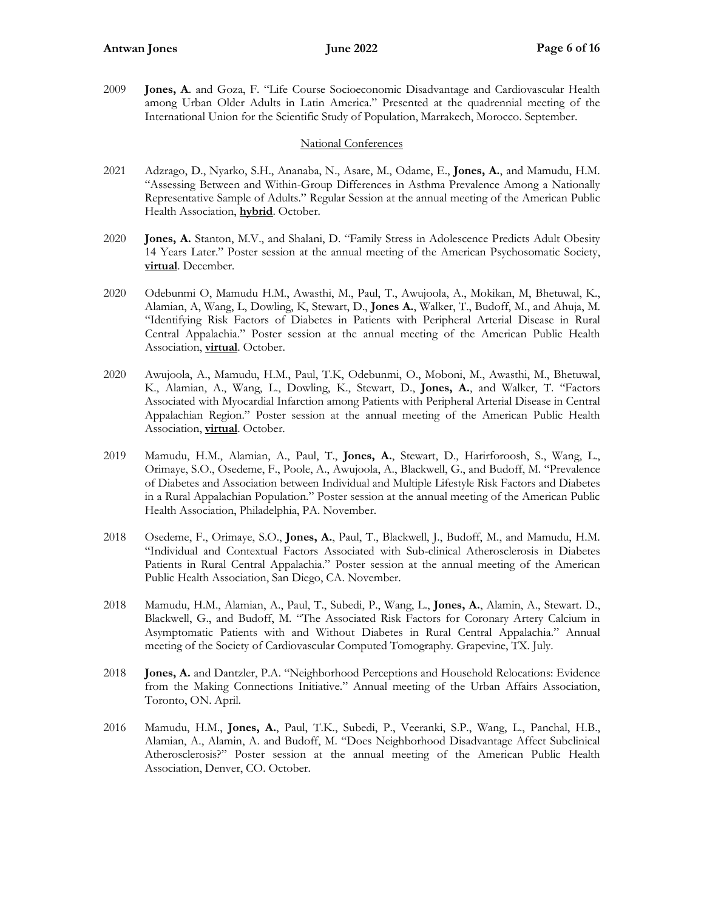2009 **Jones, A**. and Goza, F. "Life Course Socioeconomic Disadvantage and Cardiovascular Health among Urban Older Adults in Latin America." Presented at the quadrennial meeting of the International Union for the Scientific Study of Population, Marrakech, Morocco. September.

## National Conferences

- 2021 Adzrago, D., Nyarko, S.H., Ananaba, N., Asare, M., Odame, E., **Jones, A.**, and Mamudu, H.M. "Assessing Between and Within-Group Differences in Asthma Prevalence Among a Nationally Representative Sample of Adults." Regular Session at the annual meeting of the American Public Health Association, **hybrid**. October.
- 2020 **Jones, A.** Stanton, M.V., and Shalani, D. "Family Stress in Adolescence Predicts Adult Obesity 14 Years Later." Poster session at the annual meeting of the American Psychosomatic Society, **virtual**. December*.*
- 2020 Odebunmi O, Mamudu H.M., Awasthi, M., Paul, T., Awujoola, A., Mokikan, M, Bhetuwal, K., Alamian, A, Wang, L, Dowling, K, Stewart, D., **Jones A.**, Walker, T., Budoff, M., and Ahuja, M. "Identifying Risk Factors of Diabetes in Patients with Peripheral Arterial Disease in Rural Central Appalachia." Poster session at the annual meeting of the American Public Health Association, **virtual**. October.
- 2020 Awujoola, A., Mamudu, H.M., Paul, T.K, Odebunmi, O., Moboni, M., Awasthi, M., Bhetuwal, K., Alamian, A., Wang, L., Dowling, K., Stewart, D., **Jones, A.**, and Walker, T. "Factors Associated with Myocardial Infarction among Patients with Peripheral Arterial Disease in Central Appalachian Region." Poster session at the annual meeting of the American Public Health Association, **virtual**. October.
- 2019 Mamudu, H.M., Alamian, A., Paul, T., **Jones, A.**, Stewart, D., Harirforoosh, S., Wang, L., Orimaye, S.O., Osedeme, F., Poole, A., Awujoola, A., Blackwell, G., and Budoff, M. "Prevalence of Diabetes and Association between Individual and Multiple Lifestyle Risk Factors and Diabetes in a Rural Appalachian Population." Poster session at the annual meeting of the American Public Health Association, Philadelphia, PA. November.
- 2018 Osedeme, F., Orimaye, S.O., **Jones, A.**, Paul, T., Blackwell, J., Budoff, M., and Mamudu, H.M. "Individual and Contextual Factors Associated with Sub-clinical Atherosclerosis in Diabetes Patients in Rural Central Appalachia." Poster session at the annual meeting of the American Public Health Association, San Diego, CA. November.
- 2018 Mamudu, H.M., Alamian, A., Paul, T., Subedi, P., Wang, L., **Jones, A.**, Alamin, A., Stewart. D., Blackwell, G., and Budoff, M. "The Associated Risk Factors for Coronary Artery Calcium in Asymptomatic Patients with and Without Diabetes in Rural Central Appalachia." Annual meeting of the Society of Cardiovascular Computed Tomography*.* Grapevine, TX. July.
- 2018 **Jones, A.** and Dantzler, P.A. "Neighborhood Perceptions and Household Relocations: Evidence from the Making Connections Initiative." Annual meeting of the Urban Affairs Association, Toronto, ON. April.
- 2016 Mamudu, H.M., **Jones, A.**, Paul, T.K., Subedi, P., Veeranki, S.P., Wang, L., Panchal, H.B., Alamian, A., Alamin, A. and Budoff, M. "Does Neighborhood Disadvantage Affect Subclinical Atherosclerosis?" Poster session at the annual meeting of the American Public Health Association, Denver, CO. October.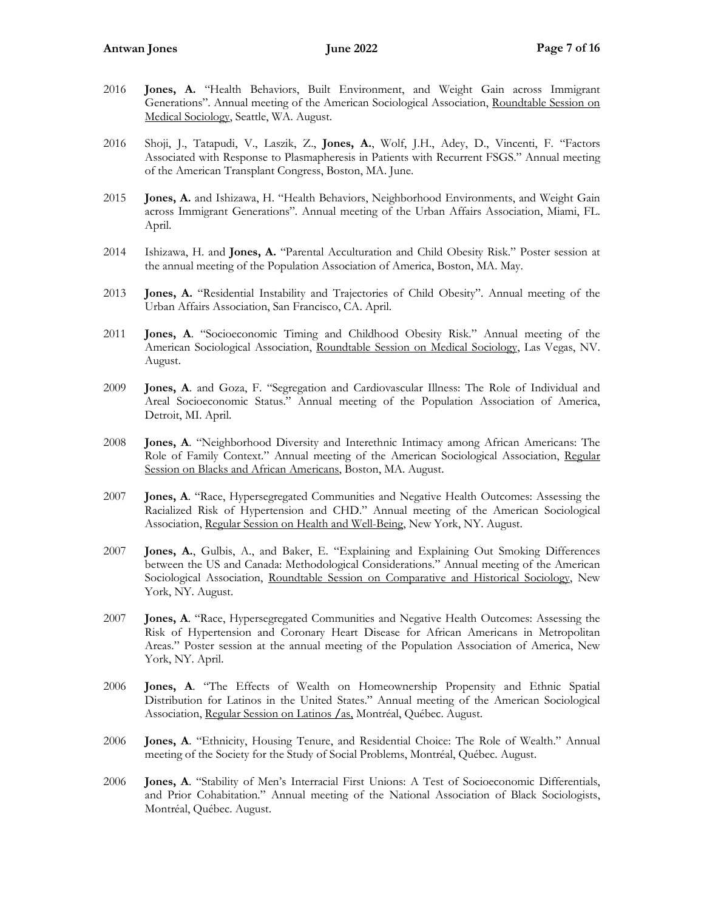- 2016 **Jones, A.** "Health Behaviors, Built Environment, and Weight Gain across Immigrant Generations". Annual meeting of the American Sociological Association, Roundtable Session on Medical Sociology, Seattle, WA. August.
- 2016 Shoji, J., Tatapudi, V., Laszik, Z., **Jones, A.**, Wolf, J.H., Adey, D., Vincenti, F. "Factors Associated with Response to Plasmapheresis in Patients with Recurrent FSGS." Annual meeting of the American Transplant Congress, Boston, MA. June.
- 2015 **Jones, A.** and Ishizawa, H. "Health Behaviors, Neighborhood Environments, and Weight Gain across Immigrant Generations". Annual meeting of the Urban Affairs Association, Miami, FL. April.
- 2014 Ishizawa, H. and **Jones, A.** "Parental Acculturation and Child Obesity Risk." Poster session at the annual meeting of the Population Association of America, Boston, MA. May.
- 2013 **Jones, A.** "Residential Instability and Trajectories of Child Obesity". Annual meeting of the Urban Affairs Association, San Francisco, CA. April.
- 2011 **Jones, A**. "Socioeconomic Timing and Childhood Obesity Risk." Annual meeting of the American Sociological Association, Roundtable Session on Medical Sociology, Las Vegas, NV. August.
- 2009 **Jones, A**. and Goza, F. "Segregation and Cardiovascular Illness: The Role of Individual and Areal Socioeconomic Status." Annual meeting of the Population Association of America, Detroit, MI. April.
- 2008 **Jones, A**. "Neighborhood Diversity and Interethnic Intimacy among African Americans: The Role of Family Context." Annual meeting of the American Sociological Association, Regular Session on Blacks and African Americans, Boston, MA. August.
- 2007 **Jones, A**. "Race, Hypersegregated Communities and Negative Health Outcomes: Assessing the Racialized Risk of Hypertension and CHD." Annual meeting of the American Sociological Association, Regular Session on Health and Well-Being, New York, NY. August.
- 2007 **Jones, A.**, Gulbis, A., and Baker, E. "Explaining and Explaining Out Smoking Differences between the US and Canada: Methodological Considerations." Annual meeting of the American Sociological Association, Roundtable Session on Comparative and Historical Sociology, New York, NY. August.
- 2007 **Jones, A**. "Race, Hypersegregated Communities and Negative Health Outcomes: Assessing the Risk of Hypertension and Coronary Heart Disease for African Americans in Metropolitan Areas." Poster session at the annual meeting of the Population Association of America, New York, NY. April.
- 2006 **Jones, A**. "The Effects of Wealth on Homeownership Propensity and Ethnic Spatial Distribution for Latinos in the United States." Annual meeting of the American Sociological Association, Regular Session on Latinos **/**as, Montréal, Québec. August.
- 2006 **Jones, A**. "Ethnicity, Housing Tenure, and Residential Choice: The Role of Wealth." Annual meeting of the Society for the Study of Social Problems, Montréal, Québec. August.
- 2006 **Jones, A**. "Stability of Men's Interracial First Unions: A Test of Socioeconomic Differentials, and Prior Cohabitation." Annual meeting of the National Association of Black Sociologists, Montréal, Québec. August.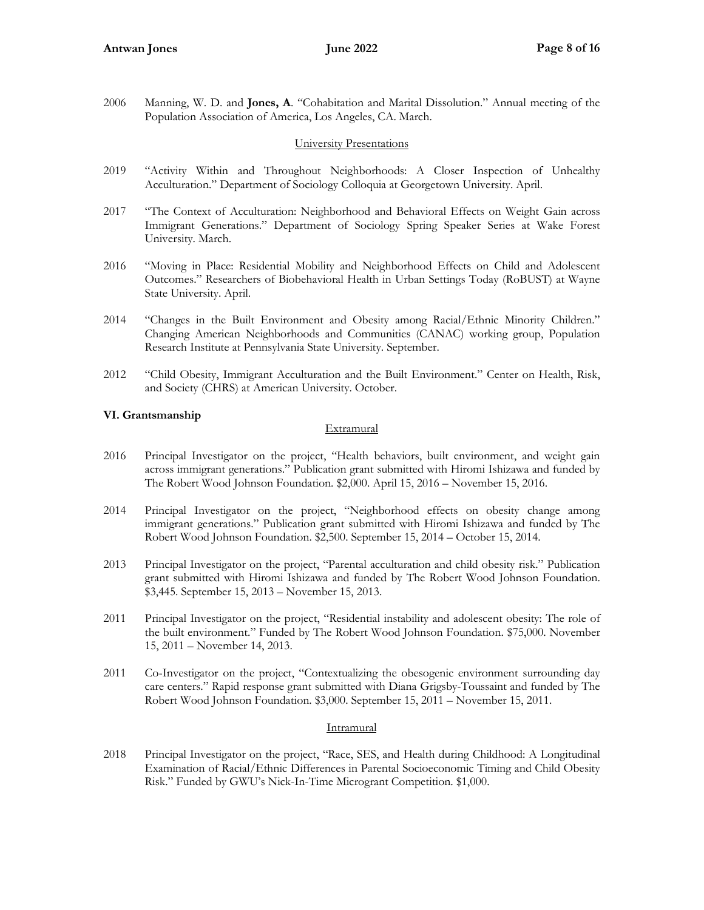2006 Manning, W. D. and **Jones, A**. "Cohabitation and Marital Dissolution." Annual meeting of the Population Association of America, Los Angeles, CA. March.

## University Presentations

- 2019 "Activity Within and Throughout Neighborhoods: A Closer Inspection of Unhealthy Acculturation." Department of Sociology Colloquia at Georgetown University. April.
- 2017 "The Context of Acculturation: Neighborhood and Behavioral Effects on Weight Gain across Immigrant Generations." Department of Sociology Spring Speaker Series at Wake Forest University. March.
- 2016 "Moving in Place: Residential Mobility and Neighborhood Effects on Child and Adolescent Outcomes." Researchers of Biobehavioral Health in Urban Settings Today (RoBUST) at Wayne State University. April.
- 2014 "Changes in the Built Environment and Obesity among Racial/Ethnic Minority Children." Changing American Neighborhoods and Communities (CANAC) working group, Population Research Institute at Pennsylvania State University. September.
- 2012 "Child Obesity, Immigrant Acculturation and the Built Environment." Center on Health, Risk, and Society (CHRS) at American University. October.

## **VI. Grantsmanship**

## Extramural

- 2016 Principal Investigator on the project, "Health behaviors, built environment, and weight gain across immigrant generations." Publication grant submitted with Hiromi Ishizawa and funded by The Robert Wood Johnson Foundation. \$2,000. April 15, 2016 – November 15, 2016.
- 2014 Principal Investigator on the project, "Neighborhood effects on obesity change among immigrant generations." Publication grant submitted with Hiromi Ishizawa and funded by The Robert Wood Johnson Foundation. \$2,500. September 15, 2014 – October 15, 2014.
- 2013 Principal Investigator on the project, "Parental acculturation and child obesity risk." Publication grant submitted with Hiromi Ishizawa and funded by The Robert Wood Johnson Foundation. \$3,445. September 15, 2013 – November 15, 2013.
- 2011 Principal Investigator on the project, "Residential instability and adolescent obesity: The role of the built environment." Funded by The Robert Wood Johnson Foundation. \$75,000. November 15, 2011 – November 14, 2013.
- 2011 Co-Investigator on the project, "Contextualizing the obesogenic environment surrounding day care centers." Rapid response grant submitted with Diana Grigsby-Toussaint and funded by The Robert Wood Johnson Foundation. \$3,000. September 15, 2011 – November 15, 2011.

## **Intramural**

2018 Principal Investigator on the project, "Race, SES, and Health during Childhood: A Longitudinal Examination of Racial/Ethnic Differences in Parental Socioeconomic Timing and Child Obesity Risk." Funded by GWU's Nick-In-Time Microgrant Competition. \$1,000.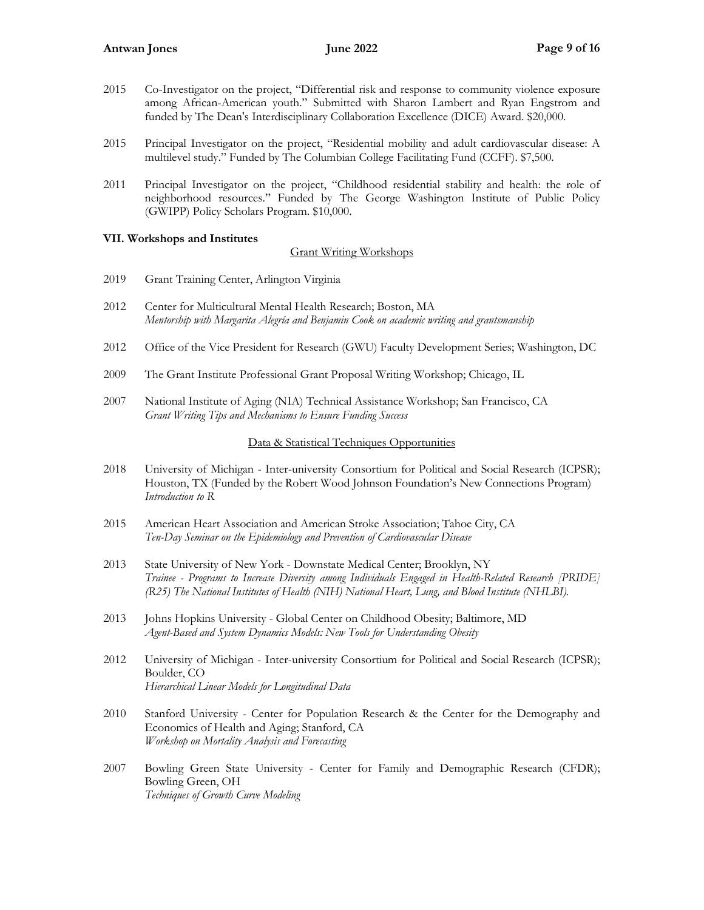- 2015 Co-Investigator on the project, "Differential risk and response to community violence exposure among African-American youth." Submitted with Sharon Lambert and Ryan Engstrom and funded by The Dean's Interdisciplinary Collaboration Excellence (DICE) Award. \$20,000.
- 2015 Principal Investigator on the project, "Residential mobility and adult cardiovascular disease: A multilevel study." Funded by The Columbian College Facilitating Fund (CCFF). \$7,500.
- 2011 Principal Investigator on the project, "Childhood residential stability and health: the role of neighborhood resources." Funded by The George Washington Institute of Public Policy (GWIPP) Policy Scholars Program. \$10,000.

## **VII. Workshops and Institutes**

## Grant Writing Workshops

- 2019 Grant Training Center, Arlington Virginia
- 2012 Center for Multicultural Mental Health Research; Boston, MA *Mentorship with Margarita Alegría and Benjamin Cook on academic writing and grantsmanship*
- 2012 Office of the Vice President for Research (GWU) Faculty Development Series; Washington, DC
- 2009 The Grant Institute Professional Grant Proposal Writing Workshop; Chicago, IL
- 2007 National Institute of Aging (NIA) Technical Assistance Workshop; San Francisco, CA *Grant Writing Tips and Mechanisms to Ensure Funding Success*

## Data & Statistical Techniques Opportunities

- 2018 University of Michigan Inter-university Consortium for Political and Social Research (ICPSR); Houston, TX (Funded by the Robert Wood Johnson Foundation's New Connections Program) *Introduction to R*
- 2015 American Heart Association and American Stroke Association; Tahoe City, CA *Ten-Day Seminar on the Epidemiology and Prevention of Cardiovascular Disease*
- 2013 State University of New York Downstate Medical Center; Brooklyn, NY *Trainee - Programs to Increase Diversity among Individuals Engaged in Health-Related Research [PRIDE] (R25) The National Institutes of Health (NIH) National Heart, Lung, and Blood Institute (NHLBI).*
- 2013 Johns Hopkins University Global Center on Childhood Obesity; Baltimore, MD *Agent-Based and System Dynamics Models: New Tools for Understanding Obesity*
- 2012 University of Michigan Inter-university Consortium for Political and Social Research (ICPSR); Boulder, CO *Hierarchical Linear Models for Longitudinal Data*
- 2010 Stanford University Center for Population Research & the Center for the Demography and Economics of Health and Aging; Stanford, CA *Workshop on Mortality Analysis and Forecasting*
- 2007 Bowling Green State University Center for Family and Demographic Research (CFDR); Bowling Green, OH *Techniques of Growth Curve Modeling*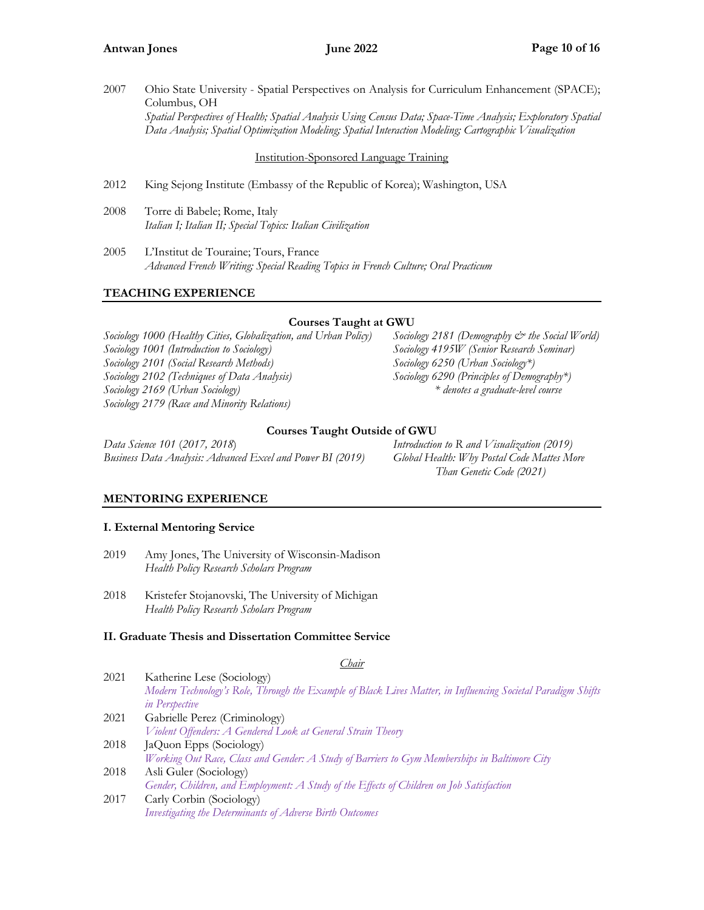2007 Ohio State University - Spatial Perspectives on Analysis for Curriculum Enhancement (SPACE); Columbus, OH *Spatial Perspectives of Health; Spatial Analysis Using Census Data; Space-Time Analysis; Exploratory Spatial Data Analysis; Spatial Optimization Modeling; Spatial Interaction Modeling; Cartographic Visualization*

Institution-Sponsored Language Training

- 2012 King Sejong Institute (Embassy of the Republic of Korea); Washington, USA
- 2008 Torre di Babele; Rome, Italy *Italian I; Italian II; Special Topics: Italian Civilization*
- 2005 L'Institut de Touraine; Tours, France *Advanced French Writing; Special Reading Topics in French Culture; Oral Practicum*

## **TEACHING EXPERIENCE**

## **Courses Taught at GWU**

*Sociology 1000 (Healthy Cities, Globalization, and Urban Policy) Sociology 2181 (Demography & the Social World) Sociology 1001 (Introduction to Sociology) Sociology 4195W (Senior Research Seminar) Sociology 2101 (Social Research Methods) Sociology 6250 (Urban Sociology\*) Sociology 2102 (Techniques of Data Analysis) Sociology 6290 (Principles of Demography\*) Sociology 2169 (Urban Sociology) \* denotes a graduate-level course Sociology 2179 (Race and Minority Relations)*

## **Courses Taught Outside of GWU**

*Data Science 101* (*2017, 2018*) *Introduction to R and Visualization (2019) Business Data Analysis: Advanced Excel and Power BI (2019) Global Health: Why Postal Code Mattes More* 

 *Than Genetic Code (2021)*

## **MENTORING EXPERIENCE**

## **I. External Mentoring Service**

- 2019 Amy Jones, The University of Wisconsin-Madison *Health Policy Research Scholars Program*
- 2018 Kristefer Stojanovski, The University of Michigan *Health Policy Research Scholars Program*

## **II. Graduate Thesis and Dissertation Committee Service**

*Chair*

- 2021 Katherine Lese (Sociology) *Modern Technology's Role, Through the Example of Black Lives Matter, in Influencing Societal Paradigm Shifts in Perspective* 2021 Gabrielle Perez (Criminology) *Violent Offenders: A Gendered Look at General Strain Theory* 2018 JaQuon Epps (Sociology) *[Working Out Race, Class and Gender: A Study of Barriers to Gym Memberships in Baltimore City](https://scholarspace.library.gwu.edu/etd/8w32r6451)*
- 2018 Asli Guler (Sociology) *[Gender, Children, and Employment: A Study of the Effects of Children on Job Satisfaction](https://scholarspace.library.gwu.edu/etd/9880vr26p)*
- 2017 Carly Corbin (Sociology) *[Investigating the Determinants of Adverse Birth Outcomes](https://scholarspace-etds.library.gwu.edu/etd/ht24wj41z)*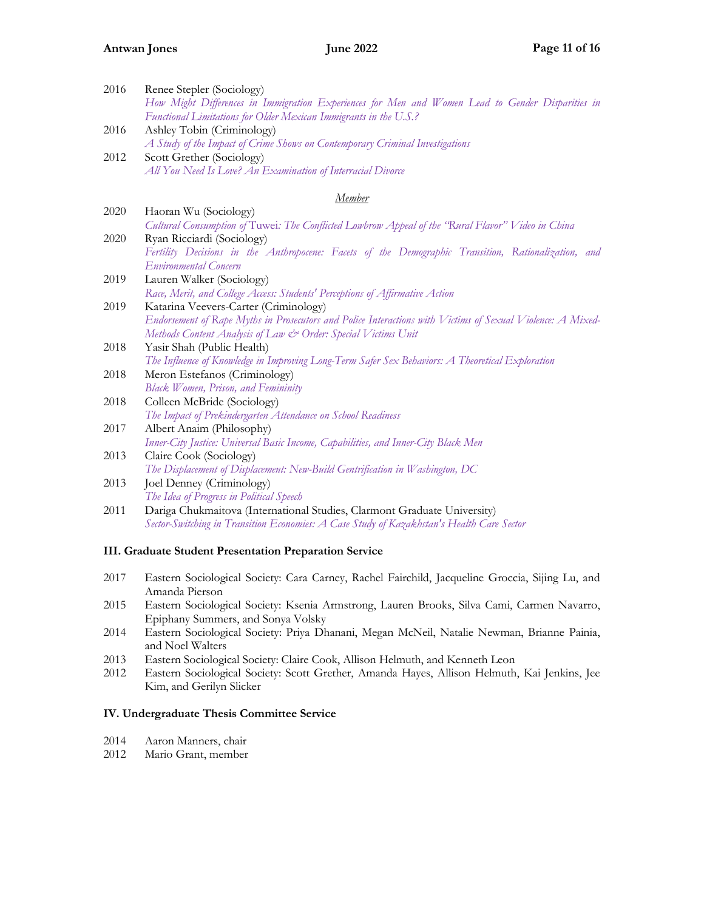| 2016   | Renee Stepler (Sociology)<br>How Might Differences in Immigration Experiences for Men and Women Lead to Gender Disparities in<br>Functional Limitations for Older Mexican Immigrants in the U.S.? |
|--------|---------------------------------------------------------------------------------------------------------------------------------------------------------------------------------------------------|
| 2016   | Ashley Tobin (Criminology)                                                                                                                                                                        |
|        | A Study of the Impact of Crime Shows on Contemporary Criminal Investigations                                                                                                                      |
| 2012   | Scott Grether (Sociology)                                                                                                                                                                         |
|        | All You Need Is Love? An Examination of Interracial Divorce                                                                                                                                       |
| Member |                                                                                                                                                                                                   |
| 2020   | Haoran Wu (Sociology)                                                                                                                                                                             |
|        | Cultural Consumption of Tuwei: The Conflicted Lowbrow Appeal of the "Rural Flavor" Video in China                                                                                                 |
| 2020   | Ryan Ricciardi (Sociology)                                                                                                                                                                        |
|        | Fertility Decisions in the Anthropocene: Facets of the Demographic Transition, Rationalization, and                                                                                               |
|        | Environmental Concern                                                                                                                                                                             |
| 2019   | Lauren Walker (Sociology)                                                                                                                                                                         |
|        | Race, Merit, and College Access: Students' Perceptions of Affirmative Action                                                                                                                      |
| 2019   | Katarina Veevers-Carter (Criminology)                                                                                                                                                             |
|        | Endorsement of Rape Myths in Prosecutors and Police Interactions with Victims of Sexual Violence: A Mixed-                                                                                        |
|        | Methods Content Analysis of Law & Order: Special Victims Unit                                                                                                                                     |
| 2018   | Yasir Shah (Public Health)                                                                                                                                                                        |
|        | The Influence of Knowledge in Improving Long-Term Safer Sex Behaviors: A Theoretical Exploration                                                                                                  |
| 2018   | Meron Estefanos (Criminology)                                                                                                                                                                     |
|        | Black Women, Prison, and Femininity                                                                                                                                                               |
| 2018   | Colleen McBride (Sociology)                                                                                                                                                                       |
|        | The Impact of Prekindergarten Attendance on School Readiness                                                                                                                                      |
| 2017   | Albert Anaim (Philosophy)                                                                                                                                                                         |
|        | Inner-City Justice: Universal Basic Income, Capabilities, and Inner-City Black Men                                                                                                                |
| 2013   | Claire Cook (Sociology)                                                                                                                                                                           |
|        | The Displacement of Displacement: New-Build Gentrification in Washington, DC                                                                                                                      |
| 2013   | Joel Denney (Criminology)                                                                                                                                                                         |
|        | The Idea of Progress in Political Speech                                                                                                                                                          |
| 2011   | Dariga Chukmaitova (International Studies, Clarmont Graduate University)                                                                                                                          |
|        | Sector-Switching in Transition Economies: A Case Study of Kazakhstan's Health Care Sector                                                                                                         |
|        |                                                                                                                                                                                                   |

## **III. Graduate Student Presentation Preparation Service**

- 2017 Eastern Sociological Society: Cara Carney, Rachel Fairchild, Jacqueline Groccia, Sijing Lu, and Amanda Pierson
- 2015 Eastern Sociological Society: Ksenia Armstrong, Lauren Brooks, Silva Cami, Carmen Navarro, Epiphany Summers, and Sonya Volsky
- 2014 Eastern Sociological Society: Priya Dhanani, Megan McNeil, Natalie Newman, Brianne Painia, and Noel Walters
- 2013 Eastern Sociological Society: Claire Cook, Allison Helmuth, and Kenneth Leon
- 2012 Eastern Sociological Society: Scott Grether, Amanda Hayes, Allison Helmuth, Kai Jenkins, Jee Kim, and Gerilyn Slicker

## **IV. Undergraduate Thesis Committee Service**

- 2014 Aaron Manners, chair
- 2012 Mario Grant, member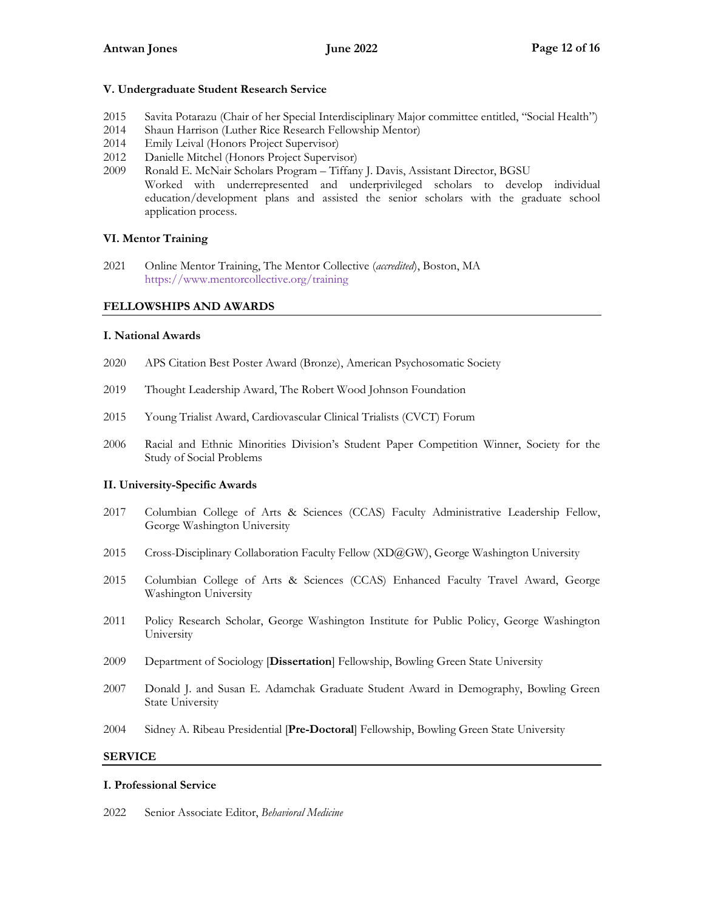## **V. Undergraduate Student Research Service**

- 2015 Savita Potarazu (Chair of her Special Interdisciplinary Major committee entitled, "Social Health")
- 2014 Shaun Harrison (Luther Rice Research Fellowship Mentor)
- 2014 Emily Leival (Honors Project Supervisor)
- 2012 Danielle Mitchel (Honors Project Supervisor)
- 2009 Ronald E. McNair Scholars Program Tiffany J. Davis, Assistant Director, BGSU Worked with underrepresented and underprivileged scholars to develop individual education/development plans and assisted the senior scholars with the graduate school application process.

## **VI. Mentor Training**

2021 Online Mentor Training, The Mentor Collective (*accredited*), Boston, MA <https://www.mentorcollective.org/training>

## **FELLOWSHIPS AND AWARDS**

## **I. National Awards**

- 2020 APS Citation Best Poster Award (Bronze), American Psychosomatic Society
- 2019 Thought Leadership Award, The Robert Wood Johnson Foundation
- 2015 Young Trialist Award, Cardiovascular Clinical Trialists (CVCT) Forum
- 2006 Racial and Ethnic Minorities Division's Student Paper Competition Winner, Society for the Study of Social Problems

## **II. University-Specific Awards**

- 2017 Columbian College of Arts & Sciences (CCAS) Faculty Administrative Leadership Fellow, George Washington University
- 2015 Cross-Disciplinary Collaboration Faculty Fellow (XD@GW), George Washington University
- 2015 Columbian College of Arts & Sciences (CCAS) Enhanced Faculty Travel Award, George Washington University
- 2011 Policy Research Scholar, George Washington Institute for Public Policy, George Washington University
- 2009 Department of Sociology [**Dissertation**] Fellowship, Bowling Green State University
- 2007 Donald J. and Susan E. Adamchak Graduate Student Award in Demography, Bowling Green State University
- 2004 Sidney A. Ribeau Presidential [**Pre-Doctoral**] Fellowship, Bowling Green State University

## **SERVICE**

## **I. Professional Service**

2022 Senior Associate Editor, *Behavioral Medicine*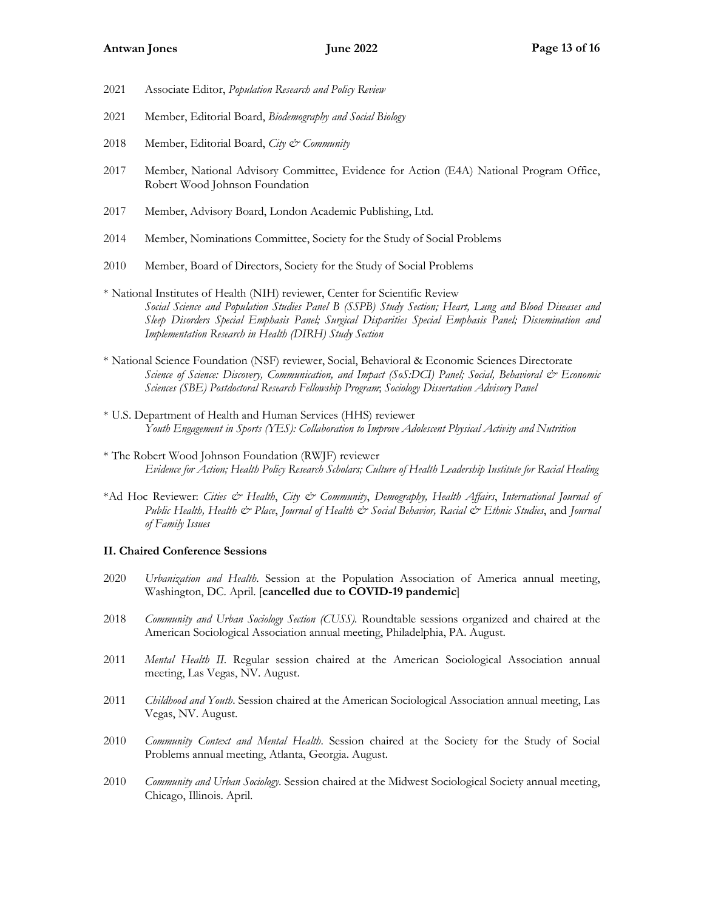- 2021 Associate Editor, *Population Research and Policy Review*
- 2021 Member, Editorial Board, *Biodemography and Social Biology*
- 2018 Member, Editorial Board, *City & Community*
- 2017 Member, National Advisory Committee, Evidence for Action (E4A) National Program Office, Robert Wood Johnson Foundation
- 2017 Member, Advisory Board, London Academic Publishing, Ltd.
- 2014 Member, Nominations Committee, Society for the Study of Social Problems
- 2010 Member, Board of Directors, Society for the Study of Social Problems
- \* National Institutes of Health (NIH) reviewer, Center for Scientific Review *Social Science and Population Studies Panel B (SSPB) Study Section; Heart, Lung and Blood Diseases and Sleep Disorders Special Emphasis Panel; Surgical Disparities Special Emphasis Panel; Dissemination and Implementation Research in Health (DIRH) Study Section*
- \* National Science Foundation (NSF) reviewer, Social, Behavioral & Economic Sciences Directorate *Science of Science: Discovery, Communication, and Impact (SoS:DCI) Panel; Social, Behavioral & Economic Sciences (SBE) Postdoctoral Research Fellowship Program*; *Sociology Dissertation Advisory Panel*
- \* U.S. Department of Health and Human Services (HHS) reviewer *Youth Engagement in Sports (YES): Collaboration to Improve Adolescent Physical Activity and Nutrition*
- \* The Robert Wood Johnson Foundation (RWJF) reviewer *Evidence for Action; Health Policy Research Scholars; Culture of Health Leadership Institute for Racial Healing*
- \*Ad Hoc Reviewer: *Cities & Health*, *City & Community*, *Demography, Health Affairs*, *International Journal of Public Health, Health & Place*, *Journal of Health & Social Behavior, Racial & Ethnic Studies*, and *Journal of Family Issues*

## **II. Chaired Conference Sessions**

- 2020 *Urbanization and Health*. Session at the Population Association of America annual meeting, Washington, DC. April. [**cancelled due to COVID-19 pandemic**]
- 2018 *Community and Urban Sociology Section (CUSS).* Roundtable sessions organized and chaired at the American Sociological Association annual meeting, Philadelphia, PA. August.
- 2011 *Mental Health II*. Regular session chaired at the American Sociological Association annual meeting, Las Vegas, NV. August.
- 2011 *Childhood and Youth*. Session chaired at the American Sociological Association annual meeting, Las Vegas, NV. August.
- 2010 *Community Context and Mental Health*. Session chaired at the Society for the Study of Social Problems annual meeting, Atlanta, Georgia. August.
- 2010 *Community and Urban Sociology*. Session chaired at the Midwest Sociological Society annual meeting, Chicago, Illinois. April.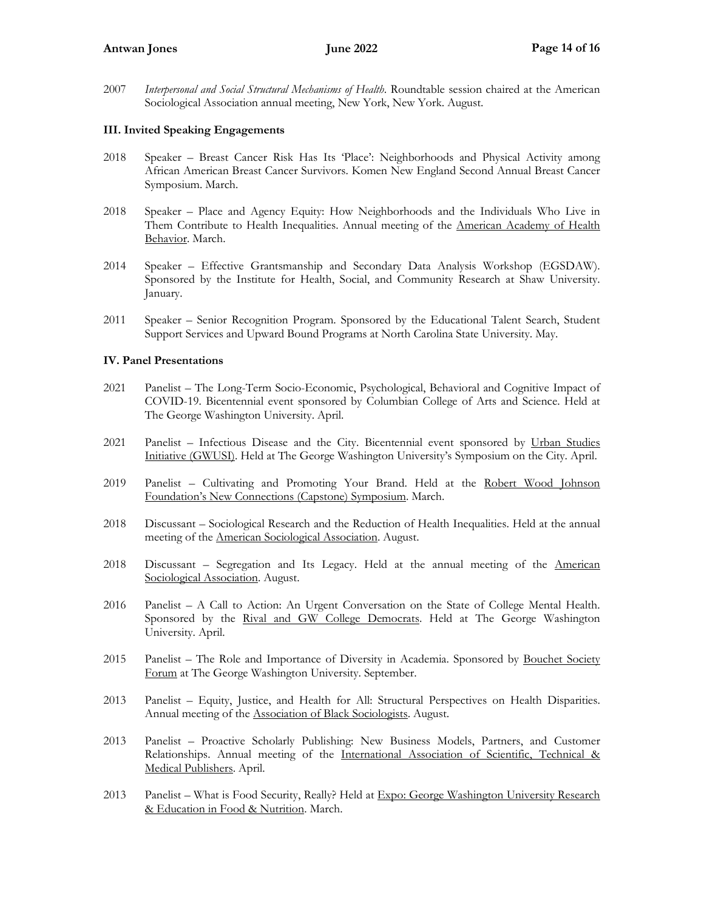## **Antwan Jones June 2022 Page 14 of 16**

2007 *Interpersonal and Social Structural Mechanisms of Health*. Roundtable session chaired at the American Sociological Association annual meeting, New York, New York. August.

## **III. Invited Speaking Engagements**

- 2018 Speaker Breast Cancer Risk Has Its 'Place': Neighborhoods and Physical Activity among African American Breast Cancer Survivors. Komen New England Second Annual Breast Cancer Symposium. March.
- 2018 Speaker Place and Agency Equity: How Neighborhoods and the Individuals Who Live in Them Contribute to Health Inequalities. Annual meeting of the American Academy of Health Behavior. March.
- 2014 Speaker Effective Grantsmanship and Secondary Data Analysis Workshop (EGSDAW). Sponsored by the Institute for Health, Social, and Community Research at Shaw University. January.
- 2011 Speaker Senior Recognition Program. Sponsored by the Educational Talent Search, Student Support Services and Upward Bound Programs at North Carolina State University. May.

## **IV. Panel Presentations**

- 2021 Panelist The Long-Term Socio-Economic, Psychological, Behavioral and Cognitive Impact of COVID-19. Bicentennial event sponsored by Columbian College of Arts and Science. Held at The George Washington University. April.
- 2021 Panelist Infectious Disease and the City. Bicentennial event sponsored by Urban Studies Initiative (GWUSI). Held at The George Washington University's Symposium on the City. April.
- 2019 Panelist Cultivating and Promoting Your Brand. Held at the Robert Wood Johnson Foundation's New Connections (Capstone) Symposium. March.
- 2018 Discussant Sociological Research and the Reduction of Health Inequalities. Held at the annual meeting of the American Sociological Association. August.
- 2018 Discussant Segregation and Its Legacy. Held at the annual meeting of the American Sociological Association. August.
- 2016 Panelist A Call to Action: An Urgent Conversation on the State of College Mental Health. Sponsored by the Rival and GW College Democrats. Held at The George Washington University. April.
- 2015 Panelist The Role and Importance of Diversity in Academia. Sponsored by Bouchet Society Forum at The George Washington University. September.
- 2013 Panelist Equity, Justice, and Health for All: Structural Perspectives on Health Disparities. Annual meeting of the Association of Black Sociologists. August.
- 2013 Panelist Proactive Scholarly Publishing: New Business Models, Partners, and Customer Relationships. Annual meeting of the International Association of Scientific, Technical & Medical Publishers. April.
- 2013 Panelist What is Food Security, Really? Held at Expo: George Washington University Research & Education in Food & Nutrition. March.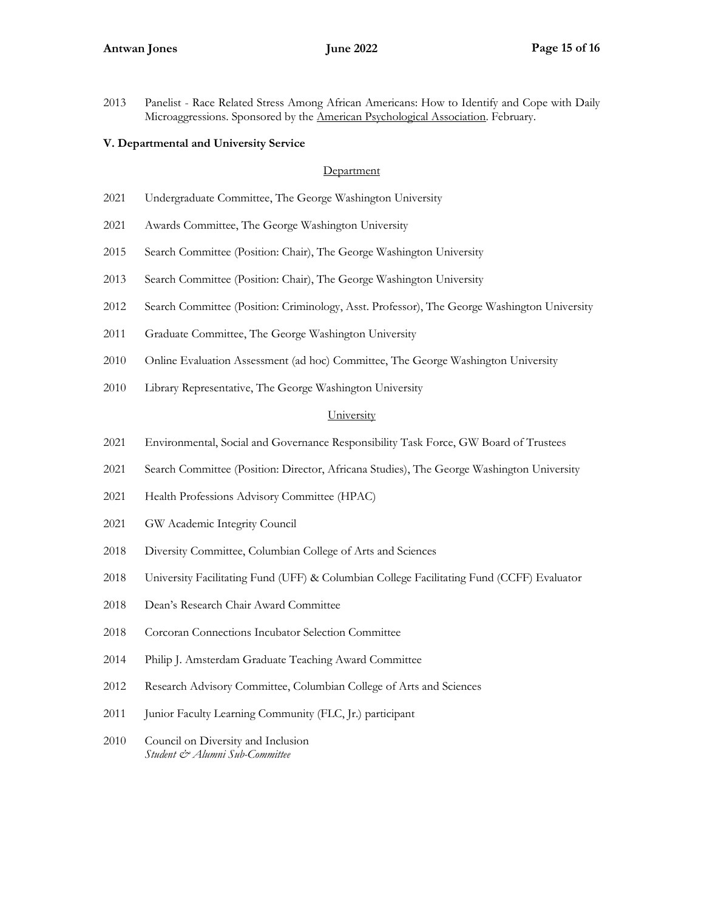Panelist - Race Related Stress Among African Americans: How to Identify and Cope with Daily Microaggressions. Sponsored by the American Psychological Association. February.

## **V. Departmental and University Service**

#### **Department**

- Undergraduate Committee, The George Washington University
- Awards Committee, The George Washington University
- Search Committee (Position: Chair), The George Washington University
- Search Committee (Position: Chair), The George Washington University
- Search Committee (Position: Criminology, Asst. Professor), The George Washington University
- Graduate Committee, The George Washington University
- Online Evaluation Assessment (ad hoc) Committee, The George Washington University
- Library Representative, The George Washington University

## **University**

- Environmental, Social and Governance Responsibility Task Force, GW Board of Trustees
- Search Committee (Position: Director, Africana Studies), The George Washington University
- Health Professions Advisory Committee (HPAC)
- GW Academic Integrity Council
- Diversity Committee, Columbian College of Arts and Sciences
- University Facilitating Fund (UFF) & Columbian College Facilitating Fund (CCFF) Evaluator
- Dean's Research Chair Award Committee
- Corcoran Connections Incubator Selection Committee
- Philip J. Amsterdam Graduate Teaching Award Committee
- Research Advisory Committee, Columbian College of Arts and Sciences
- Junior Faculty Learning Community (FLC, Jr.) participant
- Council on Diversity and Inclusion *Student & Alumni Sub-Committee*